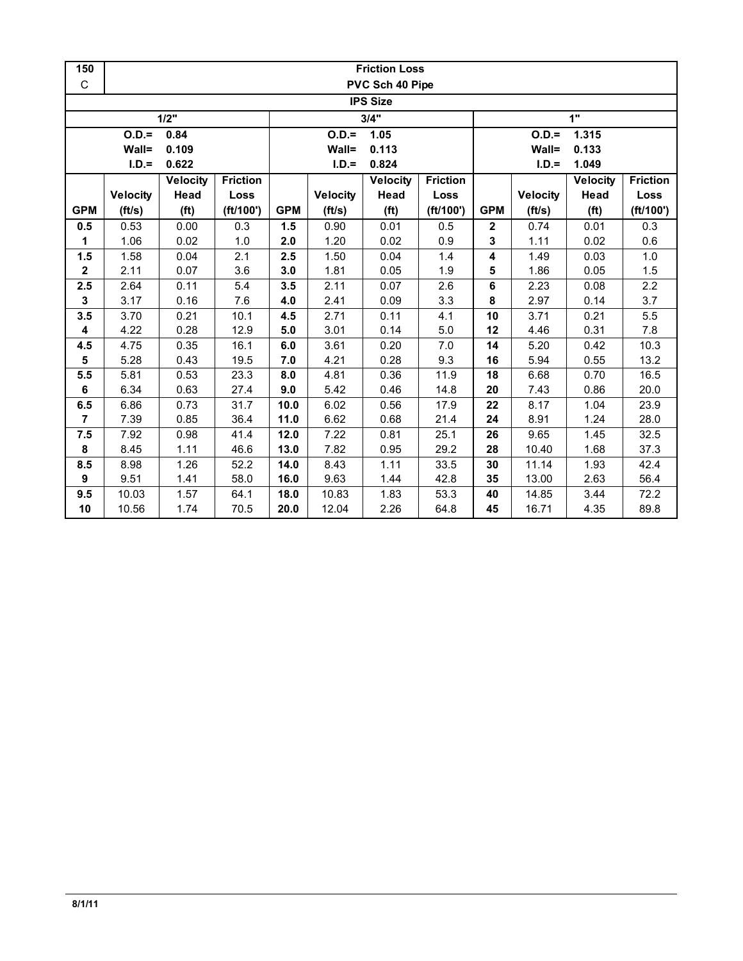| 150            | <b>Friction Loss</b> |                   |                 |            |                 |                   |                 |                         |                 |                   |                 |  |  |  |
|----------------|----------------------|-------------------|-----------------|------------|-----------------|-------------------|-----------------|-------------------------|-----------------|-------------------|-----------------|--|--|--|
| C              |                      |                   |                 |            |                 | PVC Sch 40 Pipe   |                 |                         |                 |                   |                 |  |  |  |
|                | <b>IPS Size</b>      |                   |                 |            |                 |                   |                 |                         |                 |                   |                 |  |  |  |
|                |                      | 1/2"              |                 |            |                 | 3/4"              |                 | 1"                      |                 |                   |                 |  |  |  |
|                | $O.D.=$              | 0.84              |                 |            | $O.D. =$        | 1.05              |                 | $O.D.=$<br>1.315        |                 |                   |                 |  |  |  |
|                | Wall=                | 0.109             |                 |            | Wall=           | 0.113             |                 |                         | Wall=           | 0.133             |                 |  |  |  |
|                | $I.D.=$              | 0.622             |                 |            | $I.D.=$         | 0.824             |                 |                         | $I.D.=$         | 1.049             |                 |  |  |  |
|                |                      | <b>Velocity</b>   | <b>Friction</b> |            |                 | Velocity          | <b>Friction</b> |                         |                 | <b>Velocity</b>   | <b>Friction</b> |  |  |  |
|                | <b>Velocity</b>      | Head              | Loss            |            | <b>Velocity</b> | Head              | Loss            |                         | <b>Velocity</b> | Head              | Loss            |  |  |  |
| <b>GPM</b>     | (ft/s)               | (f <sup>t</sup> ) | (ft/100')       | <b>GPM</b> | (ft/s)          | (f <sup>t</sup> ) | (ft/100')       | <b>GPM</b>              | (ft/s)          | (f <sup>t</sup> ) | (ft/100')       |  |  |  |
| 0.5            | 0.53                 | 0.00              | 0.3             | 1.5        | 0.90            | 0.01              | 0.5             | $\mathbf 2$             | 0.74            | 0.01              | 0.3             |  |  |  |
| 1              | 1.06                 | 0.02              | 1.0             | 2.0        | 1.20            | 0.02              | 0.9             | 3                       | 1.11            | 0.02              | 0.6             |  |  |  |
| 1.5            | 1.58                 | 0.04              | 2.1             | 2.5        | 1.50            | 0.04              | 1.4             | $\overline{\mathbf{4}}$ | 1.49            | 0.03              | 1.0             |  |  |  |
| $\mathbf{2}$   | 2.11                 | 0.07              | 3.6             | 3.0        | 1.81            | 0.05              | 1.9             | 5                       | 1.86            | 0.05              | 1.5             |  |  |  |
| 2.5            | 2.64                 | 0.11              | 5.4             | 3.5        | 2.11            | 0.07              | 2.6             | 6                       | 2.23            | 0.08              | 2.2             |  |  |  |
| 3              | 3.17                 | 0.16              | 7.6             | 4.0        | 2.41            | 0.09              | 3.3             | 8                       | 2.97            | 0.14              | 3.7             |  |  |  |
| 3.5            | 3.70                 | 0.21              | 10.1            | 4.5        | 2.71            | 0.11              | 4.1             | 10                      | 3.71            | 0.21              | 5.5             |  |  |  |
| 4              | 4.22                 | 0.28              | 12.9            | 5.0        | 3.01            | 0.14              | 5.0             | 12                      | 4.46            | 0.31              | 7.8             |  |  |  |
| 4.5            | 4.75                 | 0.35              | 16.1            | 6.0        | 3.61            | 0.20              | 7.0             | 14                      | 5.20            | 0.42              | 10.3            |  |  |  |
| 5              | 5.28                 | 0.43              | 19.5            | 7.0        | 4.21            | 0.28              | 9.3             | 16                      | 5.94            | 0.55              | 13.2            |  |  |  |
| 5.5            | 5.81                 | 0.53              | 23.3            | 8.0        | 4.81            | 0.36              | 11.9            | 18                      | 6.68            | 0.70              | 16.5            |  |  |  |
| 6              | 6.34                 | 0.63              | 27.4            | 9.0        | 5.42            | 0.46              | 14.8            | 20                      | 7.43            | 0.86              | 20.0            |  |  |  |
| 6.5            | 6.86                 | 0.73              | 31.7            | 10.0       | 6.02            | 0.56              | 17.9            | 22                      | 8.17            | 1.04              | 23.9            |  |  |  |
| $\overline{7}$ | 7.39                 | 0.85              | 36.4            | 11.0       | 6.62            | 0.68              | 21.4            | 24                      | 8.91            | 1.24              | 28.0            |  |  |  |
| 7.5            | 7.92                 | 0.98              | 41.4            | 12.0       | 7.22            | 0.81              | 25.1            | 26                      | 9.65            | 1.45              | 32.5            |  |  |  |
| 8              | 8.45                 | 1.11              | 46.6            | 13.0       | 7.82            | 0.95              | 29.2            | 28                      | 10.40           | 1.68              | 37.3            |  |  |  |
| 8.5            | 8.98                 | 1.26              | 52.2            | 14.0       | 8.43            | 1.11              | 33.5            | 30                      | 11.14           | 1.93              | 42.4            |  |  |  |
| 9              | 9.51                 | 1.41              | 58.0            | 16.0       | 9.63            | 1.44              | 42.8            | 35                      | 13.00           | 2.63              | 56.4            |  |  |  |
| 9.5            | 10.03                | 1.57              | 64.1            | 18.0       | 10.83           | 1.83              | 53.3            | 40                      | 14.85           | 3.44              | 72.2            |  |  |  |
| 10             | 10.56                | 1.74              | 70.5            | 20.0       | 12.04           | 2.26              | 64.8            | 45                      | 16.71           | 4.35              | 89.8            |  |  |  |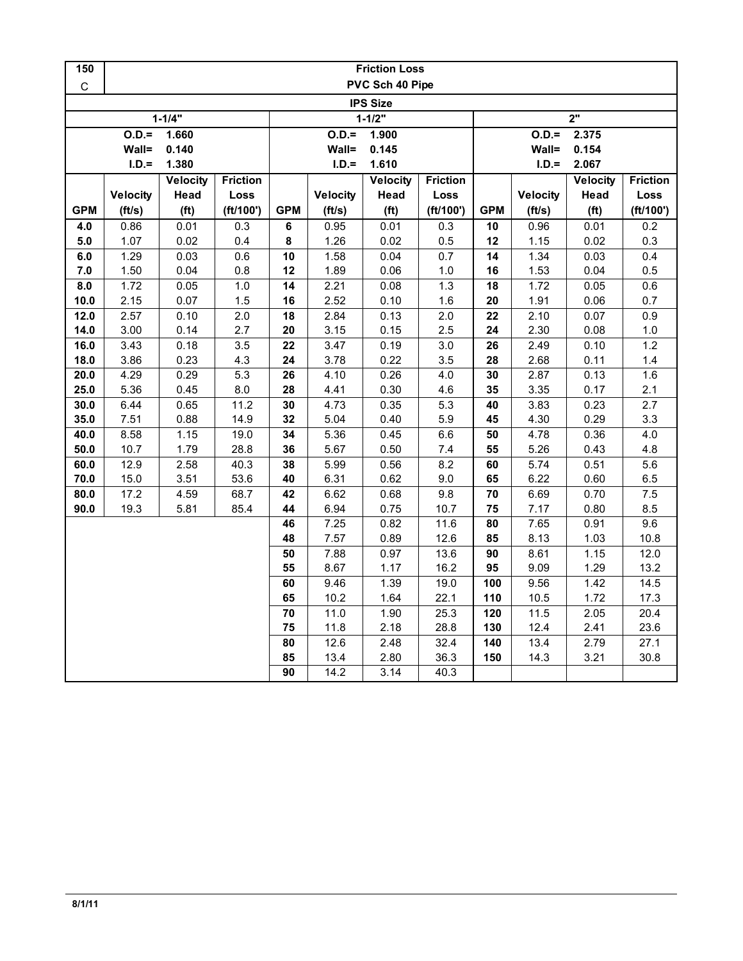| PVC Sch 40 Pipe<br>$\mathsf C$<br><b>IPS Size</b><br>$1 - 1/4"$<br>2"<br>$1 - 1/2"$<br>$0.D. =$<br>$0.D. =$<br>1.660<br>1.900<br>$O.D.=$<br>2.375<br>Wall=<br>0.140<br>Wall=<br>Wall=<br>0.154<br>0.145<br>$I.D.=$<br>1.380<br>$I.D.=$<br>1.610<br>$I.D.=$<br>2.067<br><b>Friction</b><br>Velocity<br><b>Friction</b><br>Velocity<br><b>Friction</b><br><b>Velocity</b><br>Head<br><b>Velocity</b><br>Head<br>Loss<br><b>Velocity</b><br>Loss<br><b>Velocity</b><br>Head<br>Loss<br><b>GPM</b><br>(f <sup>t</sup> )<br>(ft/100')<br><b>GPM</b><br>(f <sup>t</sup> )<br>(ft/100')<br><b>GPM</b><br>(ft/100')<br>(ft/s)<br>(ft/s)<br>(ft/s)<br>(f <sup>t</sup> )<br>0.86<br>0.01<br>0.3<br>6<br>0.95<br>0.01<br>0.3<br>10<br>0.96<br>0.01<br>0.2<br>4.0<br>0.02<br>8<br>1.26<br>0.02<br>5.0<br>1.07<br>0.4<br>0.5<br>12<br>1.15<br>0.02<br>0.3<br>1.29<br>0.03<br>0.6<br>10<br>1.58<br>0.04<br>0.7<br>14<br>1.34<br>0.03<br>0.4<br>6.0<br>1.50<br>0.04<br>0.5<br>7.0<br>0.8<br>12<br>1.89<br>0.06<br>$1.0$<br>16<br>1.53<br>0.04<br>1.72<br>0.05<br>$1.0$<br>14<br>2.21<br>0.08<br>1.3<br>18<br>1.72<br>0.05<br>0.6<br>8.0<br>2.52<br>10.0<br>2.15<br>0.07<br>1.5<br>16<br>0.10<br>1.6<br>20<br>1.91<br>0.06<br>0.7<br>2.57<br>2.0<br>2.84<br>0.9<br>12.0<br>0.10<br>18<br>0.13<br>2.0<br>22<br>2.10<br>0.07<br>3.00<br>2.7<br>2.30<br>14.0<br>0.14<br>20<br>3.15<br>0.15<br>2.5<br>24<br>0.08<br>1.0<br>3.43<br>3.47<br>1.2<br>16.0<br>0.18<br>3.5<br>22<br>0.19<br>3.0<br>26<br>2.49<br>0.10<br>18.0<br>3.86<br>0.23<br>4.3<br>24<br>3.78<br>0.22<br>2.68<br>3.5<br>28<br>0.11<br>$1.4$<br>20.0<br>4.29<br>0.29<br>5.3<br>4.10<br>0.26<br>1.6<br>26<br>4.0<br>30<br>2.87<br>0.13<br>25.0<br>5.36<br>0.45<br>8.0<br>28<br>4.41<br>0.30<br>3.35<br>2.1<br>4.6<br>35<br>0.17<br>30.0<br>6.44<br>11.2<br>4.73<br>0.35<br>5.3<br>0.23<br>2.7<br>0.65<br>30<br>40<br>3.83<br>7.51<br>5.04<br>3.3<br>35.0<br>0.88<br>14.9<br>32<br>0.40<br>5.9<br>45<br>4.30<br>0.29<br>40.0<br>8.58<br>1.15<br>19.0<br>34<br>5.36<br>0.45<br>6.6<br>50<br>0.36<br>4.0<br>4.78<br>50.0<br>10.7<br>1.79<br>28.8<br>36<br>5.67<br>0.50<br>5.26<br>4.8<br>7.4<br>55<br>0.43<br>60.0<br>12.9<br>40.3<br>5.99<br>8.2<br>5.6<br>2.58<br>38<br>0.56<br>60<br>5.74<br>0.51<br>6.31<br>70.0<br>15.0<br>3.51<br>53.6<br>40<br>0.62<br>65<br>6.22<br>6.5<br>9.0<br>0.60<br>68.7<br>6.62<br>$7.5\,$<br>80.0<br>17.2<br>4.59<br>42<br>0.68<br>9.8<br>70<br>6.69<br>0.70<br>19.3<br>6.94<br>8.5<br>90.0<br>5.81<br>85.4<br>44<br>0.75<br>10.7<br>75<br>7.17<br>0.80<br>9.6<br>46<br>7.25<br>0.82<br>11.6<br>80<br>7.65<br>0.91<br>7.57<br>0.89<br>12.6<br>85<br>8.13<br>10.8<br>48<br>1.03<br>7.88<br>0.97<br>13.6<br>8.61<br>12.0<br>50<br>90<br>1.15<br>8.67<br>13.2<br>55<br>1.17<br>16.2<br>95<br>9.09<br>1.29<br>9.46<br>1.39<br>100<br>14.5<br>60<br>19.0<br>9.56<br>1.42<br>65<br>1.64<br>10.5<br>17.3<br>10.2<br>22.1<br>110<br>1.72<br>1.90<br>25.3<br>120<br>11.5<br>20.4<br>70<br>11.0<br>2.05<br>75<br>11.8<br>2.18<br>28.8<br>130<br>12.4<br>2.41<br>23.6<br>27.1<br>80<br>12.6<br>2.48<br>32.4<br>140<br>13.4<br>2.79 | 150 | <b>Friction Loss</b> |  |  |    |      |      |      |     |      |      |      |  |  |  |
|------------------------------------------------------------------------------------------------------------------------------------------------------------------------------------------------------------------------------------------------------------------------------------------------------------------------------------------------------------------------------------------------------------------------------------------------------------------------------------------------------------------------------------------------------------------------------------------------------------------------------------------------------------------------------------------------------------------------------------------------------------------------------------------------------------------------------------------------------------------------------------------------------------------------------------------------------------------------------------------------------------------------------------------------------------------------------------------------------------------------------------------------------------------------------------------------------------------------------------------------------------------------------------------------------------------------------------------------------------------------------------------------------------------------------------------------------------------------------------------------------------------------------------------------------------------------------------------------------------------------------------------------------------------------------------------------------------------------------------------------------------------------------------------------------------------------------------------------------------------------------------------------------------------------------------------------------------------------------------------------------------------------------------------------------------------------------------------------------------------------------------------------------------------------------------------------------------------------------------------------------------------------------------------------------------------------------------------------------------------------------------------------------------------------------------------------------------------------------------------------------------------------------------------------------------------------------------------------------------------------------------------------------------------------------------------------------------------------------------------------------------------------------------------------------------------------------------------------------------------------------------------------------------------------------------------------------------------------------------------------------------------------------------------------------------------------------------------------|-----|----------------------|--|--|----|------|------|------|-----|------|------|------|--|--|--|
|                                                                                                                                                                                                                                                                                                                                                                                                                                                                                                                                                                                                                                                                                                                                                                                                                                                                                                                                                                                                                                                                                                                                                                                                                                                                                                                                                                                                                                                                                                                                                                                                                                                                                                                                                                                                                                                                                                                                                                                                                                                                                                                                                                                                                                                                                                                                                                                                                                                                                                                                                                                                                                                                                                                                                                                                                                                                                                                                                                                                                                                                                                |     |                      |  |  |    |      |      |      |     |      |      |      |  |  |  |
|                                                                                                                                                                                                                                                                                                                                                                                                                                                                                                                                                                                                                                                                                                                                                                                                                                                                                                                                                                                                                                                                                                                                                                                                                                                                                                                                                                                                                                                                                                                                                                                                                                                                                                                                                                                                                                                                                                                                                                                                                                                                                                                                                                                                                                                                                                                                                                                                                                                                                                                                                                                                                                                                                                                                                                                                                                                                                                                                                                                                                                                                                                |     |                      |  |  |    |      |      |      |     |      |      |      |  |  |  |
|                                                                                                                                                                                                                                                                                                                                                                                                                                                                                                                                                                                                                                                                                                                                                                                                                                                                                                                                                                                                                                                                                                                                                                                                                                                                                                                                                                                                                                                                                                                                                                                                                                                                                                                                                                                                                                                                                                                                                                                                                                                                                                                                                                                                                                                                                                                                                                                                                                                                                                                                                                                                                                                                                                                                                                                                                                                                                                                                                                                                                                                                                                |     |                      |  |  |    |      |      |      |     |      |      |      |  |  |  |
|                                                                                                                                                                                                                                                                                                                                                                                                                                                                                                                                                                                                                                                                                                                                                                                                                                                                                                                                                                                                                                                                                                                                                                                                                                                                                                                                                                                                                                                                                                                                                                                                                                                                                                                                                                                                                                                                                                                                                                                                                                                                                                                                                                                                                                                                                                                                                                                                                                                                                                                                                                                                                                                                                                                                                                                                                                                                                                                                                                                                                                                                                                |     |                      |  |  |    |      |      |      |     |      |      |      |  |  |  |
|                                                                                                                                                                                                                                                                                                                                                                                                                                                                                                                                                                                                                                                                                                                                                                                                                                                                                                                                                                                                                                                                                                                                                                                                                                                                                                                                                                                                                                                                                                                                                                                                                                                                                                                                                                                                                                                                                                                                                                                                                                                                                                                                                                                                                                                                                                                                                                                                                                                                                                                                                                                                                                                                                                                                                                                                                                                                                                                                                                                                                                                                                                |     |                      |  |  |    |      |      |      |     |      |      |      |  |  |  |
|                                                                                                                                                                                                                                                                                                                                                                                                                                                                                                                                                                                                                                                                                                                                                                                                                                                                                                                                                                                                                                                                                                                                                                                                                                                                                                                                                                                                                                                                                                                                                                                                                                                                                                                                                                                                                                                                                                                                                                                                                                                                                                                                                                                                                                                                                                                                                                                                                                                                                                                                                                                                                                                                                                                                                                                                                                                                                                                                                                                                                                                                                                |     |                      |  |  |    |      |      |      |     |      |      |      |  |  |  |
|                                                                                                                                                                                                                                                                                                                                                                                                                                                                                                                                                                                                                                                                                                                                                                                                                                                                                                                                                                                                                                                                                                                                                                                                                                                                                                                                                                                                                                                                                                                                                                                                                                                                                                                                                                                                                                                                                                                                                                                                                                                                                                                                                                                                                                                                                                                                                                                                                                                                                                                                                                                                                                                                                                                                                                                                                                                                                                                                                                                                                                                                                                |     |                      |  |  |    |      |      |      |     |      |      |      |  |  |  |
|                                                                                                                                                                                                                                                                                                                                                                                                                                                                                                                                                                                                                                                                                                                                                                                                                                                                                                                                                                                                                                                                                                                                                                                                                                                                                                                                                                                                                                                                                                                                                                                                                                                                                                                                                                                                                                                                                                                                                                                                                                                                                                                                                                                                                                                                                                                                                                                                                                                                                                                                                                                                                                                                                                                                                                                                                                                                                                                                                                                                                                                                                                |     |                      |  |  |    |      |      |      |     |      |      |      |  |  |  |
|                                                                                                                                                                                                                                                                                                                                                                                                                                                                                                                                                                                                                                                                                                                                                                                                                                                                                                                                                                                                                                                                                                                                                                                                                                                                                                                                                                                                                                                                                                                                                                                                                                                                                                                                                                                                                                                                                                                                                                                                                                                                                                                                                                                                                                                                                                                                                                                                                                                                                                                                                                                                                                                                                                                                                                                                                                                                                                                                                                                                                                                                                                |     |                      |  |  |    |      |      |      |     |      |      |      |  |  |  |
|                                                                                                                                                                                                                                                                                                                                                                                                                                                                                                                                                                                                                                                                                                                                                                                                                                                                                                                                                                                                                                                                                                                                                                                                                                                                                                                                                                                                                                                                                                                                                                                                                                                                                                                                                                                                                                                                                                                                                                                                                                                                                                                                                                                                                                                                                                                                                                                                                                                                                                                                                                                                                                                                                                                                                                                                                                                                                                                                                                                                                                                                                                |     |                      |  |  |    |      |      |      |     |      |      |      |  |  |  |
|                                                                                                                                                                                                                                                                                                                                                                                                                                                                                                                                                                                                                                                                                                                                                                                                                                                                                                                                                                                                                                                                                                                                                                                                                                                                                                                                                                                                                                                                                                                                                                                                                                                                                                                                                                                                                                                                                                                                                                                                                                                                                                                                                                                                                                                                                                                                                                                                                                                                                                                                                                                                                                                                                                                                                                                                                                                                                                                                                                                                                                                                                                |     |                      |  |  |    |      |      |      |     |      |      |      |  |  |  |
|                                                                                                                                                                                                                                                                                                                                                                                                                                                                                                                                                                                                                                                                                                                                                                                                                                                                                                                                                                                                                                                                                                                                                                                                                                                                                                                                                                                                                                                                                                                                                                                                                                                                                                                                                                                                                                                                                                                                                                                                                                                                                                                                                                                                                                                                                                                                                                                                                                                                                                                                                                                                                                                                                                                                                                                                                                                                                                                                                                                                                                                                                                |     |                      |  |  |    |      |      |      |     |      |      |      |  |  |  |
|                                                                                                                                                                                                                                                                                                                                                                                                                                                                                                                                                                                                                                                                                                                                                                                                                                                                                                                                                                                                                                                                                                                                                                                                                                                                                                                                                                                                                                                                                                                                                                                                                                                                                                                                                                                                                                                                                                                                                                                                                                                                                                                                                                                                                                                                                                                                                                                                                                                                                                                                                                                                                                                                                                                                                                                                                                                                                                                                                                                                                                                                                                |     |                      |  |  |    |      |      |      |     |      |      |      |  |  |  |
|                                                                                                                                                                                                                                                                                                                                                                                                                                                                                                                                                                                                                                                                                                                                                                                                                                                                                                                                                                                                                                                                                                                                                                                                                                                                                                                                                                                                                                                                                                                                                                                                                                                                                                                                                                                                                                                                                                                                                                                                                                                                                                                                                                                                                                                                                                                                                                                                                                                                                                                                                                                                                                                                                                                                                                                                                                                                                                                                                                                                                                                                                                |     |                      |  |  |    |      |      |      |     |      |      |      |  |  |  |
|                                                                                                                                                                                                                                                                                                                                                                                                                                                                                                                                                                                                                                                                                                                                                                                                                                                                                                                                                                                                                                                                                                                                                                                                                                                                                                                                                                                                                                                                                                                                                                                                                                                                                                                                                                                                                                                                                                                                                                                                                                                                                                                                                                                                                                                                                                                                                                                                                                                                                                                                                                                                                                                                                                                                                                                                                                                                                                                                                                                                                                                                                                |     |                      |  |  |    |      |      |      |     |      |      |      |  |  |  |
|                                                                                                                                                                                                                                                                                                                                                                                                                                                                                                                                                                                                                                                                                                                                                                                                                                                                                                                                                                                                                                                                                                                                                                                                                                                                                                                                                                                                                                                                                                                                                                                                                                                                                                                                                                                                                                                                                                                                                                                                                                                                                                                                                                                                                                                                                                                                                                                                                                                                                                                                                                                                                                                                                                                                                                                                                                                                                                                                                                                                                                                                                                |     |                      |  |  |    |      |      |      |     |      |      |      |  |  |  |
|                                                                                                                                                                                                                                                                                                                                                                                                                                                                                                                                                                                                                                                                                                                                                                                                                                                                                                                                                                                                                                                                                                                                                                                                                                                                                                                                                                                                                                                                                                                                                                                                                                                                                                                                                                                                                                                                                                                                                                                                                                                                                                                                                                                                                                                                                                                                                                                                                                                                                                                                                                                                                                                                                                                                                                                                                                                                                                                                                                                                                                                                                                |     |                      |  |  |    |      |      |      |     |      |      |      |  |  |  |
|                                                                                                                                                                                                                                                                                                                                                                                                                                                                                                                                                                                                                                                                                                                                                                                                                                                                                                                                                                                                                                                                                                                                                                                                                                                                                                                                                                                                                                                                                                                                                                                                                                                                                                                                                                                                                                                                                                                                                                                                                                                                                                                                                                                                                                                                                                                                                                                                                                                                                                                                                                                                                                                                                                                                                                                                                                                                                                                                                                                                                                                                                                |     |                      |  |  |    |      |      |      |     |      |      |      |  |  |  |
|                                                                                                                                                                                                                                                                                                                                                                                                                                                                                                                                                                                                                                                                                                                                                                                                                                                                                                                                                                                                                                                                                                                                                                                                                                                                                                                                                                                                                                                                                                                                                                                                                                                                                                                                                                                                                                                                                                                                                                                                                                                                                                                                                                                                                                                                                                                                                                                                                                                                                                                                                                                                                                                                                                                                                                                                                                                                                                                                                                                                                                                                                                |     |                      |  |  |    |      |      |      |     |      |      |      |  |  |  |
|                                                                                                                                                                                                                                                                                                                                                                                                                                                                                                                                                                                                                                                                                                                                                                                                                                                                                                                                                                                                                                                                                                                                                                                                                                                                                                                                                                                                                                                                                                                                                                                                                                                                                                                                                                                                                                                                                                                                                                                                                                                                                                                                                                                                                                                                                                                                                                                                                                                                                                                                                                                                                                                                                                                                                                                                                                                                                                                                                                                                                                                                                                |     |                      |  |  |    |      |      |      |     |      |      |      |  |  |  |
|                                                                                                                                                                                                                                                                                                                                                                                                                                                                                                                                                                                                                                                                                                                                                                                                                                                                                                                                                                                                                                                                                                                                                                                                                                                                                                                                                                                                                                                                                                                                                                                                                                                                                                                                                                                                                                                                                                                                                                                                                                                                                                                                                                                                                                                                                                                                                                                                                                                                                                                                                                                                                                                                                                                                                                                                                                                                                                                                                                                                                                                                                                |     |                      |  |  |    |      |      |      |     |      |      |      |  |  |  |
|                                                                                                                                                                                                                                                                                                                                                                                                                                                                                                                                                                                                                                                                                                                                                                                                                                                                                                                                                                                                                                                                                                                                                                                                                                                                                                                                                                                                                                                                                                                                                                                                                                                                                                                                                                                                                                                                                                                                                                                                                                                                                                                                                                                                                                                                                                                                                                                                                                                                                                                                                                                                                                                                                                                                                                                                                                                                                                                                                                                                                                                                                                |     |                      |  |  |    |      |      |      |     |      |      |      |  |  |  |
|                                                                                                                                                                                                                                                                                                                                                                                                                                                                                                                                                                                                                                                                                                                                                                                                                                                                                                                                                                                                                                                                                                                                                                                                                                                                                                                                                                                                                                                                                                                                                                                                                                                                                                                                                                                                                                                                                                                                                                                                                                                                                                                                                                                                                                                                                                                                                                                                                                                                                                                                                                                                                                                                                                                                                                                                                                                                                                                                                                                                                                                                                                |     |                      |  |  |    |      |      |      |     |      |      |      |  |  |  |
|                                                                                                                                                                                                                                                                                                                                                                                                                                                                                                                                                                                                                                                                                                                                                                                                                                                                                                                                                                                                                                                                                                                                                                                                                                                                                                                                                                                                                                                                                                                                                                                                                                                                                                                                                                                                                                                                                                                                                                                                                                                                                                                                                                                                                                                                                                                                                                                                                                                                                                                                                                                                                                                                                                                                                                                                                                                                                                                                                                                                                                                                                                |     |                      |  |  |    |      |      |      |     |      |      |      |  |  |  |
|                                                                                                                                                                                                                                                                                                                                                                                                                                                                                                                                                                                                                                                                                                                                                                                                                                                                                                                                                                                                                                                                                                                                                                                                                                                                                                                                                                                                                                                                                                                                                                                                                                                                                                                                                                                                                                                                                                                                                                                                                                                                                                                                                                                                                                                                                                                                                                                                                                                                                                                                                                                                                                                                                                                                                                                                                                                                                                                                                                                                                                                                                                |     |                      |  |  |    |      |      |      |     |      |      |      |  |  |  |
|                                                                                                                                                                                                                                                                                                                                                                                                                                                                                                                                                                                                                                                                                                                                                                                                                                                                                                                                                                                                                                                                                                                                                                                                                                                                                                                                                                                                                                                                                                                                                                                                                                                                                                                                                                                                                                                                                                                                                                                                                                                                                                                                                                                                                                                                                                                                                                                                                                                                                                                                                                                                                                                                                                                                                                                                                                                                                                                                                                                                                                                                                                |     |                      |  |  |    |      |      |      |     |      |      |      |  |  |  |
|                                                                                                                                                                                                                                                                                                                                                                                                                                                                                                                                                                                                                                                                                                                                                                                                                                                                                                                                                                                                                                                                                                                                                                                                                                                                                                                                                                                                                                                                                                                                                                                                                                                                                                                                                                                                                                                                                                                                                                                                                                                                                                                                                                                                                                                                                                                                                                                                                                                                                                                                                                                                                                                                                                                                                                                                                                                                                                                                                                                                                                                                                                |     |                      |  |  |    |      |      |      |     |      |      |      |  |  |  |
|                                                                                                                                                                                                                                                                                                                                                                                                                                                                                                                                                                                                                                                                                                                                                                                                                                                                                                                                                                                                                                                                                                                                                                                                                                                                                                                                                                                                                                                                                                                                                                                                                                                                                                                                                                                                                                                                                                                                                                                                                                                                                                                                                                                                                                                                                                                                                                                                                                                                                                                                                                                                                                                                                                                                                                                                                                                                                                                                                                                                                                                                                                |     |                      |  |  |    |      |      |      |     |      |      |      |  |  |  |
|                                                                                                                                                                                                                                                                                                                                                                                                                                                                                                                                                                                                                                                                                                                                                                                                                                                                                                                                                                                                                                                                                                                                                                                                                                                                                                                                                                                                                                                                                                                                                                                                                                                                                                                                                                                                                                                                                                                                                                                                                                                                                                                                                                                                                                                                                                                                                                                                                                                                                                                                                                                                                                                                                                                                                                                                                                                                                                                                                                                                                                                                                                |     |                      |  |  |    |      |      |      |     |      |      |      |  |  |  |
|                                                                                                                                                                                                                                                                                                                                                                                                                                                                                                                                                                                                                                                                                                                                                                                                                                                                                                                                                                                                                                                                                                                                                                                                                                                                                                                                                                                                                                                                                                                                                                                                                                                                                                                                                                                                                                                                                                                                                                                                                                                                                                                                                                                                                                                                                                                                                                                                                                                                                                                                                                                                                                                                                                                                                                                                                                                                                                                                                                                                                                                                                                |     |                      |  |  |    |      |      |      |     |      |      |      |  |  |  |
|                                                                                                                                                                                                                                                                                                                                                                                                                                                                                                                                                                                                                                                                                                                                                                                                                                                                                                                                                                                                                                                                                                                                                                                                                                                                                                                                                                                                                                                                                                                                                                                                                                                                                                                                                                                                                                                                                                                                                                                                                                                                                                                                                                                                                                                                                                                                                                                                                                                                                                                                                                                                                                                                                                                                                                                                                                                                                                                                                                                                                                                                                                |     |                      |  |  |    |      |      |      |     |      |      |      |  |  |  |
|                                                                                                                                                                                                                                                                                                                                                                                                                                                                                                                                                                                                                                                                                                                                                                                                                                                                                                                                                                                                                                                                                                                                                                                                                                                                                                                                                                                                                                                                                                                                                                                                                                                                                                                                                                                                                                                                                                                                                                                                                                                                                                                                                                                                                                                                                                                                                                                                                                                                                                                                                                                                                                                                                                                                                                                                                                                                                                                                                                                                                                                                                                |     |                      |  |  |    |      |      |      |     |      |      |      |  |  |  |
|                                                                                                                                                                                                                                                                                                                                                                                                                                                                                                                                                                                                                                                                                                                                                                                                                                                                                                                                                                                                                                                                                                                                                                                                                                                                                                                                                                                                                                                                                                                                                                                                                                                                                                                                                                                                                                                                                                                                                                                                                                                                                                                                                                                                                                                                                                                                                                                                                                                                                                                                                                                                                                                                                                                                                                                                                                                                                                                                                                                                                                                                                                |     |                      |  |  |    |      |      |      |     |      |      |      |  |  |  |
|                                                                                                                                                                                                                                                                                                                                                                                                                                                                                                                                                                                                                                                                                                                                                                                                                                                                                                                                                                                                                                                                                                                                                                                                                                                                                                                                                                                                                                                                                                                                                                                                                                                                                                                                                                                                                                                                                                                                                                                                                                                                                                                                                                                                                                                                                                                                                                                                                                                                                                                                                                                                                                                                                                                                                                                                                                                                                                                                                                                                                                                                                                |     |                      |  |  |    |      |      |      |     |      |      |      |  |  |  |
|                                                                                                                                                                                                                                                                                                                                                                                                                                                                                                                                                                                                                                                                                                                                                                                                                                                                                                                                                                                                                                                                                                                                                                                                                                                                                                                                                                                                                                                                                                                                                                                                                                                                                                                                                                                                                                                                                                                                                                                                                                                                                                                                                                                                                                                                                                                                                                                                                                                                                                                                                                                                                                                                                                                                                                                                                                                                                                                                                                                                                                                                                                |     |                      |  |  |    |      |      |      |     |      |      |      |  |  |  |
|                                                                                                                                                                                                                                                                                                                                                                                                                                                                                                                                                                                                                                                                                                                                                                                                                                                                                                                                                                                                                                                                                                                                                                                                                                                                                                                                                                                                                                                                                                                                                                                                                                                                                                                                                                                                                                                                                                                                                                                                                                                                                                                                                                                                                                                                                                                                                                                                                                                                                                                                                                                                                                                                                                                                                                                                                                                                                                                                                                                                                                                                                                |     |                      |  |  |    |      |      |      |     |      |      |      |  |  |  |
|                                                                                                                                                                                                                                                                                                                                                                                                                                                                                                                                                                                                                                                                                                                                                                                                                                                                                                                                                                                                                                                                                                                                                                                                                                                                                                                                                                                                                                                                                                                                                                                                                                                                                                                                                                                                                                                                                                                                                                                                                                                                                                                                                                                                                                                                                                                                                                                                                                                                                                                                                                                                                                                                                                                                                                                                                                                                                                                                                                                                                                                                                                |     |                      |  |  |    |      |      |      |     |      |      |      |  |  |  |
|                                                                                                                                                                                                                                                                                                                                                                                                                                                                                                                                                                                                                                                                                                                                                                                                                                                                                                                                                                                                                                                                                                                                                                                                                                                                                                                                                                                                                                                                                                                                                                                                                                                                                                                                                                                                                                                                                                                                                                                                                                                                                                                                                                                                                                                                                                                                                                                                                                                                                                                                                                                                                                                                                                                                                                                                                                                                                                                                                                                                                                                                                                |     |                      |  |  | 85 | 13.4 | 2.80 | 36.3 | 150 | 14.3 | 3.21 | 30.8 |  |  |  |
| 90<br>14.2<br>3.14<br>40.3                                                                                                                                                                                                                                                                                                                                                                                                                                                                                                                                                                                                                                                                                                                                                                                                                                                                                                                                                                                                                                                                                                                                                                                                                                                                                                                                                                                                                                                                                                                                                                                                                                                                                                                                                                                                                                                                                                                                                                                                                                                                                                                                                                                                                                                                                                                                                                                                                                                                                                                                                                                                                                                                                                                                                                                                                                                                                                                                                                                                                                                                     |     |                      |  |  |    |      |      |      |     |      |      |      |  |  |  |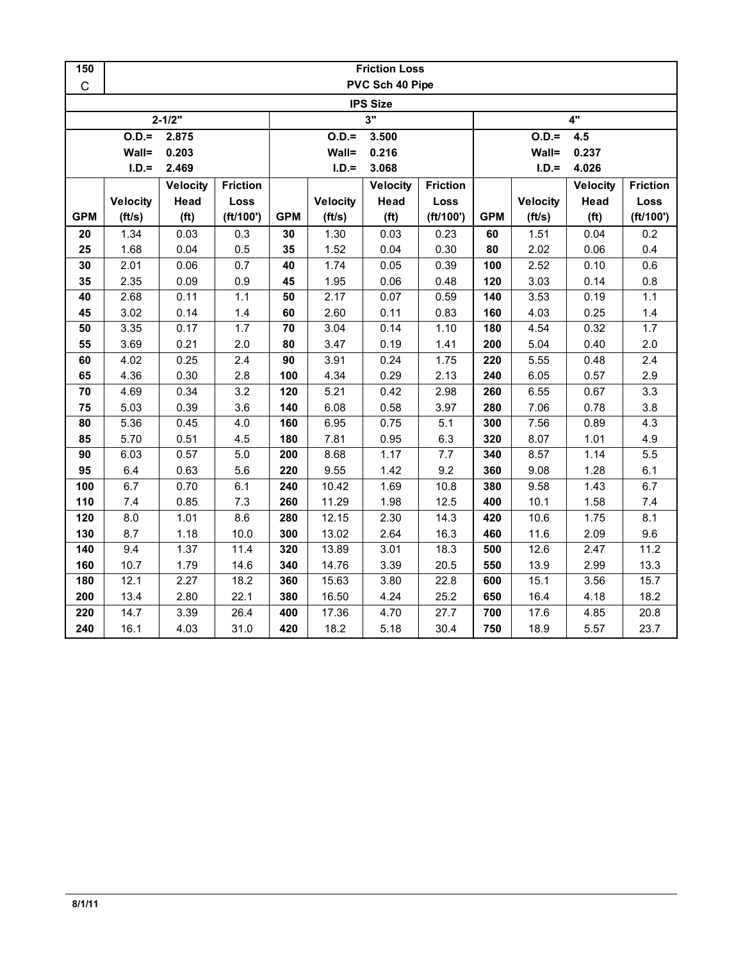| 150         | <b>Friction Loss</b> |                   |                 |            |                 |                   |                 |                |                 |                   |                 |  |
|-------------|----------------------|-------------------|-----------------|------------|-----------------|-------------------|-----------------|----------------|-----------------|-------------------|-----------------|--|
| $\mathsf C$ | PVC Sch 40 Pipe      |                   |                 |            |                 |                   |                 |                |                 |                   |                 |  |
|             |                      |                   |                 |            |                 | <b>IPS Size</b>   |                 |                |                 |                   |                 |  |
|             |                      | $2 - 1/2"$        |                 | 3"         |                 |                   |                 | 4"             |                 |                   |                 |  |
|             | $O.D.=$              | 2.875             |                 |            | $O.D. =$        | 3.500             |                 | $O.D.=$<br>4.5 |                 |                   |                 |  |
|             | Wall=<br>0.203       |                   |                 |            | Wall=           | 0.216             |                 |                | Wall=<br>0.237  |                   |                 |  |
|             | $I.D.=$              | 2.469             |                 |            | $I.D.=$         | 3.068             |                 |                | $I.D.=$         | 4.026             |                 |  |
|             |                      | <b>Velocity</b>   | <b>Friction</b> |            |                 | Velocity          | <b>Friction</b> |                |                 | <b>Velocity</b>   | <b>Friction</b> |  |
|             | <b>Velocity</b>      | Head              | Loss            |            | <b>Velocity</b> | Head              | Loss            |                | <b>Velocity</b> | Head              | Loss            |  |
| <b>GPM</b>  | (ft/s)               | (f <sup>t</sup> ) | (ft/100')       | <b>GPM</b> | (ft/s)          | (f <sup>t</sup> ) | (ft/100')       | <b>GPM</b>     | (ft/s)          | (f <sup>t</sup> ) | (ft/100')       |  |
| 20          | 1.34                 | 0.03              | 0.3             | 30         | 1.30            | 0.03              | 0.23            | 60             | 1.51            | 0.04              | 0.2             |  |
| 25          | 1.68                 | 0.04              | 0.5             | 35         | 1.52            | 0.04              | 0.30            | 80             | 2.02            | 0.06              | 0.4             |  |
| 30          | 2.01                 | 0.06              | 0.7             | 40         | 1.74            | 0.05              | 0.39            | 100            | 2.52            | 0.10              | 0.6             |  |
| 35          | 2.35                 | 0.09              | 0.9             | 45         | 1.95            | 0.06              | 0.48            | 120            | 3.03            | 0.14              | 0.8             |  |
| 40          | 2.68                 | 0.11              | 1.1             | 50         | 2.17            | 0.07              | 0.59            | 140            | 3.53            | 0.19              | $1.1$           |  |
| 45          | 3.02                 | 0.14              | 1.4             | 60         | 2.60            | 0.11              | 0.83            | 160            | 4.03            | 0.25              | $1.4$           |  |
| 50          | 3.35                 | 0.17              | 1.7             | 70         | 3.04            | 0.14              | 1.10            | 180            | 4.54            | 0.32              | 1.7             |  |
| 55          | 3.69                 | 0.21              | 2.0             | 80         | 3.47            | 0.19              | 1.41            | 200            | 5.04            | 0.40              | 2.0             |  |
| 60          | 4.02                 | 0.25              | 2.4             | 90         | 3.91            | 0.24              | 1.75            | 220            | 5.55            | 0.48              | 2.4             |  |
| 65          | 4.36                 | 0.30              | 2.8             | 100        | 4.34            | 0.29              | 2.13            | 240            | 6.05            | 0.57              | 2.9             |  |
| 70          | 4.69                 | 0.34              | 3.2             | 120        | 5.21            | 0.42              | 2.98            | 260            | 6.55            | 0.67              | 3.3             |  |
| 75          | 5.03                 | 0.39              | 3.6             | 140        | 6.08            | 0.58              | 3.97            | 280            | 7.06            | 0.78              | 3.8             |  |
| 80          | 5.36                 | 0.45              | 4.0             | 160        | 6.95            | 0.75              | 5.1             | 300            | 7.56            | 0.89              | 4.3             |  |
| 85          | 5.70                 | 0.51              | 4.5             | 180        | 7.81            | 0.95              | 6.3             | 320            | 8.07            | 1.01              | 4.9             |  |
| 90          | 6.03                 | 0.57              | 5.0             | 200        | 8.68            | 1.17              | 7.7             | 340            | 8.57            | 1.14              | 5.5             |  |
| 95          | 6.4                  | 0.63              | 5.6             | 220        | 9.55            | 1.42              | 9.2             | 360            | 9.08            | 1.28              | 6.1             |  |
| 100         | 6.7                  | 0.70              | 6.1             | 240        | 10.42           | 1.69              | 10.8            | 380            | 9.58            | 1.43              | 6.7             |  |
| 110         | 7.4                  | 0.85              | 7.3             | 260        | 11.29           | 1.98              | 12.5            | 400            | 10.1            | 1.58              | 7.4             |  |
| 120         | 8.0                  | 1.01              | 8.6             | 280        | 12.15           | 2.30              | 14.3            | 420            | 10.6            | 1.75              | 8.1             |  |
| 130         | 8.7                  | 1.18              | 10.0            | 300        | 13.02           | 2.64              | 16.3            | 460            | 11.6            | 2.09              | 9.6             |  |
| 140         | 9.4                  | 1.37              | 11.4            | 320        | 13.89           | 3.01              | 18.3            | 500            | 12.6            | 2.47              | 11.2            |  |
| 160         | 10.7                 | 1.79              | 14.6            | 340        | 14.76           | 3.39              | 20.5            | 550            | 13.9            | 2.99              | 13.3            |  |
| 180         | 12.1                 | 2.27              | 18.2            | 360        | 15.63           | 3.80              | 22.8            | 600            | 15.1            | 3.56              | 15.7            |  |
| 200         | 13.4                 | 2.80              | 22.1            | 380        | 16.50           | 4.24              | 25.2            | 650            | 16.4            | 4.18              | 18.2            |  |
| 220         | 14.7                 | 3.39              | 26.4            | 400        | 17.36           | 4.70              | 27.7            | 700            | 17.6            | 4.85              | 20.8            |  |
| 240         | 16.1                 | 4.03              | 31.0            | 420        | 18.2            | 5.18              | 30.4            | 750            | 18.9            | 5.57              | 23.7            |  |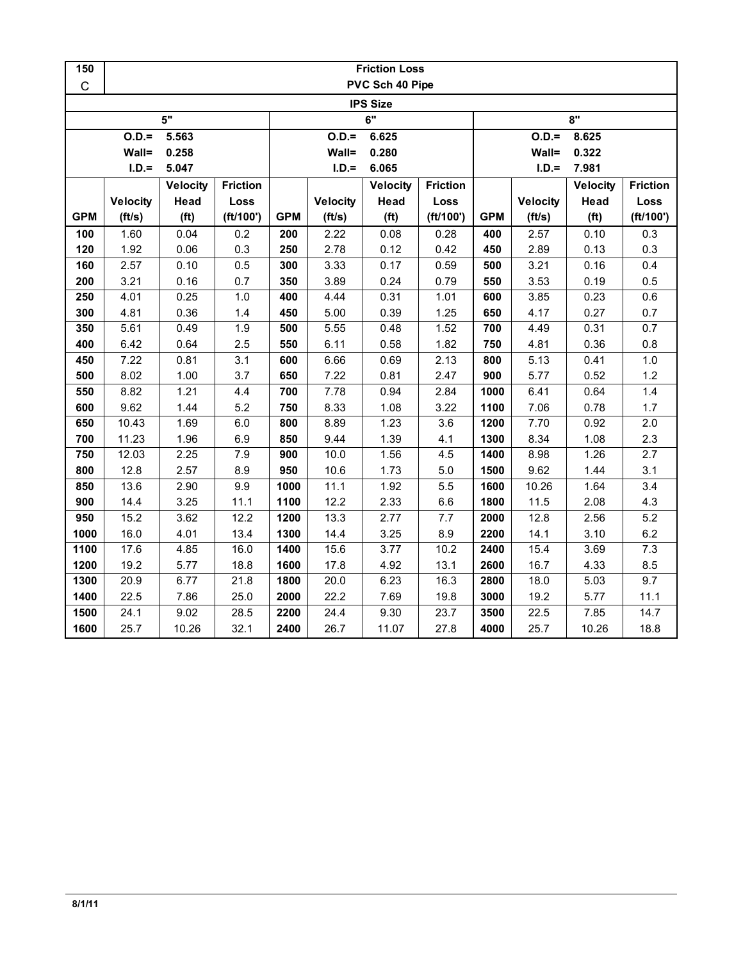| 150         | <b>Friction Loss</b> |                   |                 |            |                 |                   |                 |                  |                 |                   |                 |  |
|-------------|----------------------|-------------------|-----------------|------------|-----------------|-------------------|-----------------|------------------|-----------------|-------------------|-----------------|--|
| $\mathsf C$ |                      |                   |                 |            |                 | PVC Sch 40 Pipe   |                 |                  |                 |                   |                 |  |
|             |                      |                   |                 |            |                 | <b>IPS Size</b>   |                 |                  |                 |                   |                 |  |
|             |                      | 5"                |                 |            |                 | $\overline{6"}$   |                 | 8"               |                 |                   |                 |  |
|             | $O.D.=$              | 5.563             |                 |            | $O.D.=$         | 6.625             |                 | $O.D.=$<br>8.625 |                 |                   |                 |  |
|             | Wall=                | 0.258             |                 |            | Wall=           | 0.280             |                 |                  | Wall=           | 0.322             |                 |  |
|             | $I.D.=$              | 5.047             |                 |            | $I.D.=$         | 6.065             |                 |                  | $I.D.=$         | 7.981             |                 |  |
|             |                      | <b>Velocity</b>   | <b>Friction</b> |            |                 | <b>Velocity</b>   | <b>Friction</b> |                  |                 | <b>Velocity</b>   | <b>Friction</b> |  |
|             | <b>Velocity</b>      | Head              | Loss            |            | <b>Velocity</b> | Head              | Loss            |                  | <b>Velocity</b> | Head              | Loss            |  |
| <b>GPM</b>  | (ft/s)               | (f <sup>t</sup> ) | (ft/100')       | <b>GPM</b> | (ft/s)          | (f <sup>t</sup> ) | (ft/100')       | <b>GPM</b>       | (ft/s)          | (f <sup>t</sup> ) | (ft/100')       |  |
| 100         | 1.60                 | 0.04              | 0.2             | 200        | 2.22            | 0.08              | 0.28            | 400              | 2.57            | 0.10              | 0.3             |  |
| 120         | 1.92                 | 0.06              | 0.3             | 250        | 2.78            | 0.12              | 0.42            | 450              | 2.89            | 0.13              | 0.3             |  |
| 160         | 2.57                 | 0.10              | 0.5             | 300        | 3.33            | 0.17              | 0.59            | 500              | 3.21            | 0.16              | 0.4             |  |
| 200         | 3.21                 | 0.16              | 0.7             | 350        | 3.89            | 0.24              | 0.79            | 550              | 3.53            | 0.19              | 0.5             |  |
| 250         | 4.01                 | 0.25              | 1.0             | 400        | 4.44            | 0.31              | 1.01            | 600              | 3.85            | 0.23              | 0.6             |  |
| 300         | 4.81                 | 0.36              | 1.4             | 450        | 5.00            | 0.39              | 1.25            | 650              | 4.17            | 0.27              | 0.7             |  |
| 350         | 5.61                 | 0.49              | 1.9             | 500        | 5.55            | 0.48              | 1.52            | 700              | 4.49            | 0.31              | 0.7             |  |
| 400         | 6.42                 | 0.64              | 2.5             | 550        | 6.11            | 0.58              | 1.82            | 750              | 4.81            | 0.36              | 0.8             |  |
| 450         | 7.22                 | 0.81              | 3.1             | 600        | 6.66            | 0.69              | 2.13            | 800              | 5.13            | 0.41              | $1.0$           |  |
| 500         | 8.02                 | 1.00              | 3.7             | 650        | 7.22            | 0.81              | 2.47            | 900              | 5.77            | 0.52              | 1.2             |  |
| 550         | 8.82                 | 1.21              | 4.4             | 700        | 7.78            | 0.94              | 2.84            | 1000             | 6.41            | 0.64              | 1.4             |  |
| 600         | 9.62                 | 1.44              | 5.2             | 750        | 8.33            | 1.08              | 3.22            | 1100             | 7.06            | 0.78              | 1.7             |  |
| 650         | 10.43                | 1.69              | $6.0\,$         | 800        | 8.89            | 1.23              | 3.6             | 1200             | 7.70            | 0.92              | 2.0             |  |
| 700         | 11.23                | 1.96              | 6.9             | 850        | 9.44            | 1.39              | 4.1             | 1300             | 8.34            | 1.08              | $2.3\,$         |  |
| 750         | 12.03                | 2.25              | $7.9$           | 900        | 10.0            | 1.56              | 4.5             | 1400             | 8.98            | 1.26              | 2.7             |  |
| 800         | 12.8                 | 2.57              | 8.9             | 950        | 10.6            | 1.73              | 5.0             | 1500             | 9.62            | 1.44              | 3.1             |  |
| 850         | 13.6                 | 2.90              | 9.9             | 1000       | 11.1            | 1.92              | 5.5             | 1600             | 10.26           | 1.64              | 3.4             |  |
| 900         | 14.4                 | 3.25              | 11.1            | 1100       | 12.2            | 2.33              | 6.6             | 1800             | 11.5            | 2.08              | 4.3             |  |
| 950         | 15.2                 | 3.62              | 12.2            | 1200       | 13.3            | 2.77              | 7.7             | 2000             | 12.8            | 2.56              | 5.2             |  |
| 1000        | 16.0                 | 4.01              | 13.4            | 1300       | 14.4            | 3.25              | 8.9             | 2200             | 14.1            | 3.10              | 6.2             |  |
| 1100        | 17.6                 | 4.85              | 16.0            | 1400       | 15.6            | 3.77              | 10.2            | 2400             | 15.4            | 3.69              | 7.3             |  |
| 1200        | 19.2                 | 5.77              | 18.8            | 1600       | 17.8            | 4.92              | 13.1            | 2600             | 16.7            | 4.33              | 8.5             |  |
| 1300        | 20.9                 | 6.77              | 21.8            | 1800       | 20.0            | 6.23              | 16.3            | 2800             | 18.0            | 5.03              | 9.7             |  |
| 1400        | 22.5                 | 7.86              | 25.0            | 2000       | 22.2            | 7.69              | 19.8            | 3000             | 19.2            | 5.77              | 11.1            |  |
| 1500        | 24.1                 | 9.02              | 28.5            | 2200       | 24.4            | 9.30              | 23.7            | 3500             | 22.5            | 7.85              | 14.7            |  |
| 1600        | 25.7                 | 10.26             | 32.1            | 2400       | 26.7            | 11.07             | 27.8            | 4000             | 25.7            | 10.26             | 18.8            |  |